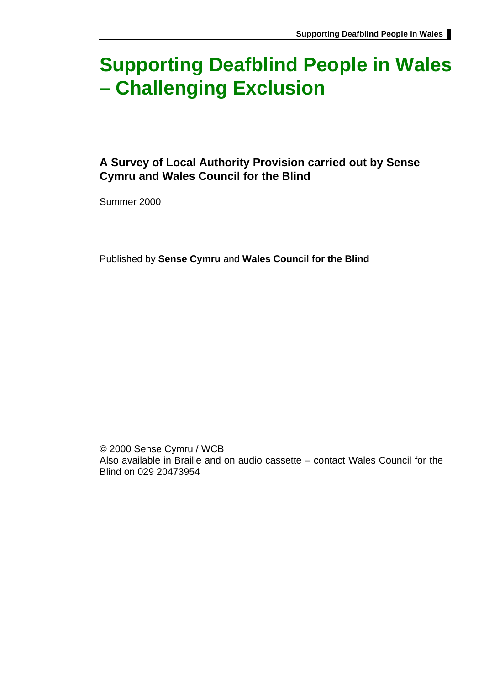# **Supporting Deafblind People in Wales – Challenging Exclusion**

## **A Survey of Local Authority Provision carried out by Sense Cymru and Wales Council for the Blind**

Summer 2000

Published by **Sense Cymru** and **Wales Council for the Blind**

© 2000 Sense Cymru / WCB Also available in Braille and on audio cassette – contact Wales Council for the Blind on 029 20473954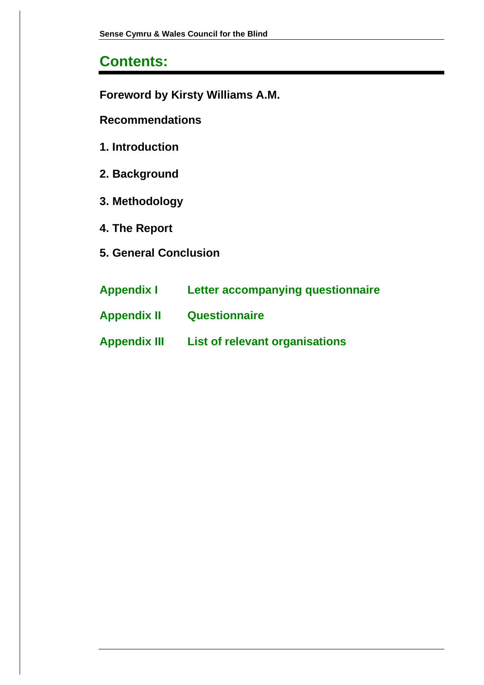## **Contents:**

**Foreword by Kirsty Williams A.M.**

**Recommendations**

- **1. Introduction**
- **2. Background**
- **3. Methodology**
- **4. The Report**
- **5. General Conclusion**
- **Appendix I Letter accompanying questionnaire**
- **Appendix II Questionnaire**
- **Appendix III List of relevant organisations**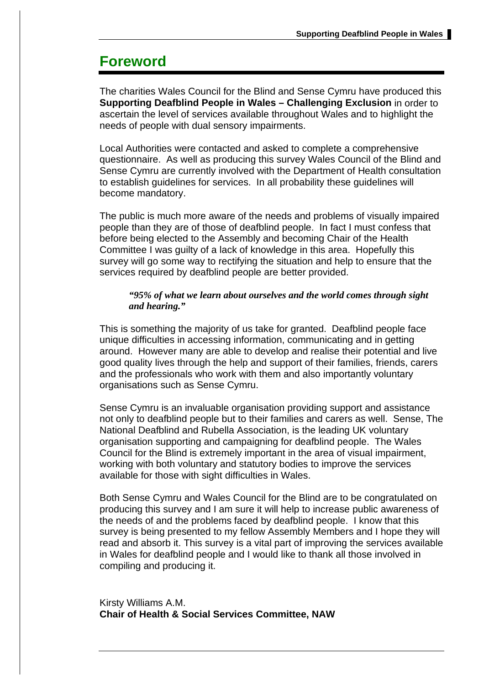## **Foreword**

The charities Wales Council for the Blind and Sense Cymru have produced this **Supporting Deafblind People in Wales – Challenging Exclusion** in order to ascertain the level of services available throughout Wales and to highlight the needs of people with dual sensory impairments.

Local Authorities were contacted and asked to complete a comprehensive questionnaire. As well as producing this survey Wales Council of the Blind and Sense Cymru are currently involved with the Department of Health consultation to establish guidelines for services. In all probability these guidelines will become mandatory.

The public is much more aware of the needs and problems of visually impaired people than they are of those of deafblind people. In fact I must confess that before being elected to the Assembly and becoming Chair of the Health Committee I was guilty of a lack of knowledge in this area. Hopefully this survey will go some way to rectifying the situation and help to ensure that the services required by deafblind people are better provided.

#### *"95% of what we learn about ourselves and the world comes through sight and hearing."*

This is something the majority of us take for granted. Deafblind people face unique difficulties in accessing information, communicating and in getting around. However many are able to develop and realise their potential and live good quality lives through the help and support of their families, friends, carers and the professionals who work with them and also importantly voluntary organisations such as Sense Cymru.

Sense Cymru is an invaluable organisation providing support and assistance not only to deafblind people but to their families and carers as well. Sense, The National Deafblind and Rubella Association, is the leading UK voluntary organisation supporting and campaigning for deafblind people. The Wales Council for the Blind is extremely important in the area of visual impairment, working with both voluntary and statutory bodies to improve the services available for those with sight difficulties in Wales.

Both Sense Cymru and Wales Council for the Blind are to be congratulated on producing this survey and I am sure it will help to increase public awareness of the needs of and the problems faced by deafblind people. I know that this survey is being presented to my fellow Assembly Members and I hope they will read and absorb it. This survey is a vital part of improving the services available in Wales for deafblind people and I would like to thank all those involved in compiling and producing it.

Kirsty Williams A.M. **Chair of Health & Social Services Committee, NAW**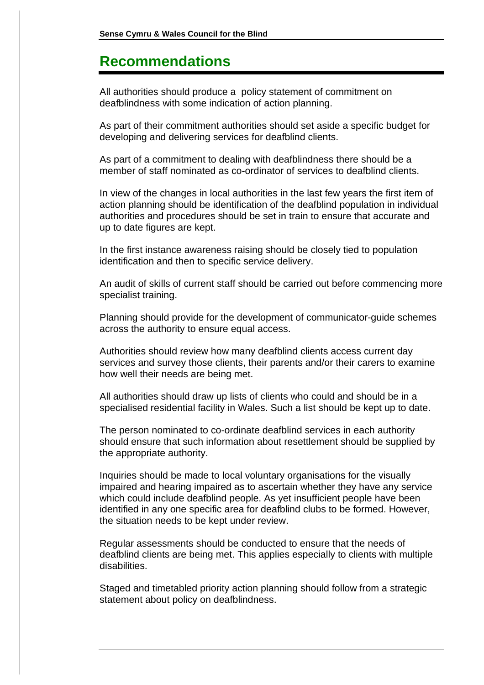## **Recommendations**

All authorities should produce a policy statement of commitment on deafblindness with some indication of action planning.

As part of their commitment authorities should set aside a specific budget for developing and delivering services for deafblind clients.

As part of a commitment to dealing with deafblindness there should be a member of staff nominated as co-ordinator of services to deafblind clients.

In view of the changes in local authorities in the last few years the first item of action planning should be identification of the deafblind population in individual authorities and procedures should be set in train to ensure that accurate and up to date figures are kept.

In the first instance awareness raising should be closely tied to population identification and then to specific service delivery.

An audit of skills of current staff should be carried out before commencing more specialist training.

Planning should provide for the development of communicator-guide schemes across the authority to ensure equal access.

Authorities should review how many deafblind clients access current day services and survey those clients, their parents and/or their carers to examine how well their needs are being met.

All authorities should draw up lists of clients who could and should be in a specialised residential facility in Wales. Such a list should be kept up to date.

The person nominated to co-ordinate deafblind services in each authority should ensure that such information about resettlement should be supplied by the appropriate authority.

Inquiries should be made to local voluntary organisations for the visually impaired and hearing impaired as to ascertain whether they have any service which could include deafblind people. As yet insufficient people have been identified in any one specific area for deafblind clubs to be formed. However, the situation needs to be kept under review.

Regular assessments should be conducted to ensure that the needs of deafblind clients are being met. This applies especially to clients with multiple disabilities.

Staged and timetabled priority action planning should follow from a strategic statement about policy on deafblindness.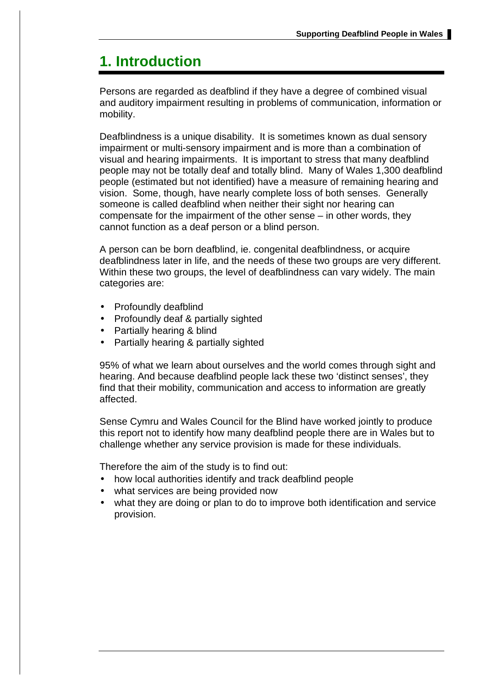## **1. Introduction**

Persons are regarded as deafblind if they have a degree of combined visual and auditory impairment resulting in problems of communication, information or mobility.

Deafblindness is a unique disability. It is sometimes known as dual sensory impairment or multi-sensory impairment and is more than a combination of visual and hearing impairments. It is important to stress that many deafblind people may not be totally deaf and totally blind. Many of Wales 1,300 deafblind people (estimated but not identified) have a measure of remaining hearing and vision. Some, though, have nearly complete loss of both senses. Generally someone is called deafblind when neither their sight nor hearing can compensate for the impairment of the other sense – in other words, they cannot function as a deaf person or a blind person.

A person can be born deafblind, ie. congenital deafblindness, or acquire deafblindness later in life, and the needs of these two groups are very different. Within these two groups, the level of deafblindness can vary widely. The main categories are:

- Profoundly deafblind
- Profoundly deaf & partially sighted
- Partially hearing & blind
- Partially hearing & partially sighted

95% of what we learn about ourselves and the world comes through sight and hearing. And because deafblind people lack these two 'distinct senses', they find that their mobility, communication and access to information are greatly affected.

Sense Cymru and Wales Council for the Blind have worked jointly to produce this report not to identify how many deafblind people there are in Wales but to challenge whether any service provision is made for these individuals.

Therefore the aim of the study is to find out:

- how local authorities identify and track deafblind people
- what services are being provided now
- what they are doing or plan to do to improve both identification and service provision.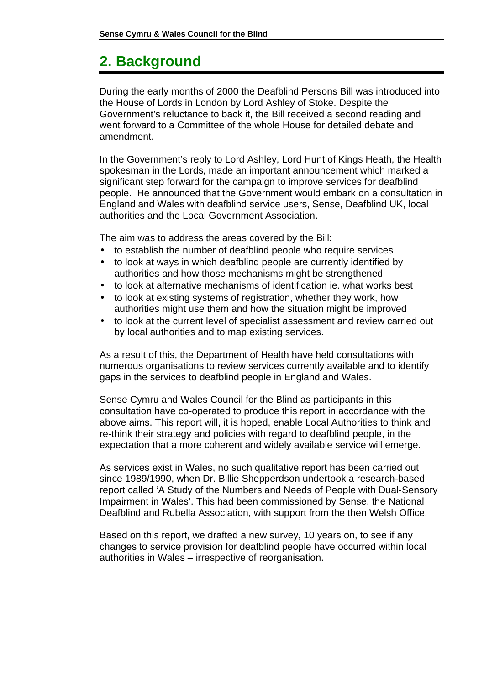## **2. Background**

During the early months of 2000 the Deafblind Persons Bill was introduced into the House of Lords in London by Lord Ashley of Stoke. Despite the Government's reluctance to back it, the Bill received a second reading and went forward to a Committee of the whole House for detailed debate and amendment.

In the Government's reply to Lord Ashley, Lord Hunt of Kings Heath, the Health spokesman in the Lords, made an important announcement which marked a significant step forward for the campaign to improve services for deafblind people. He announced that the Government would embark on a consultation in England and Wales with deafblind service users, Sense, Deafblind UK, local authorities and the Local Government Association.

The aim was to address the areas covered by the Bill:

- to establish the number of deafblind people who require services
- to look at ways in which deafblind people are currently identified by authorities and how those mechanisms might be strengthened
- to look at alternative mechanisms of identification ie. what works best
- to look at existing systems of registration, whether they work, how authorities might use them and how the situation might be improved
- to look at the current level of specialist assessment and review carried out by local authorities and to map existing services.

As a result of this, the Department of Health have held consultations with numerous organisations to review services currently available and to identify gaps in the services to deafblind people in England and Wales.

Sense Cymru and Wales Council for the Blind as participants in this consultation have co-operated to produce this report in accordance with the above aims. This report will, it is hoped, enable Local Authorities to think and re-think their strategy and policies with regard to deafblind people, in the expectation that a more coherent and widely available service will emerge.

As services exist in Wales, no such qualitative report has been carried out since 1989/1990, when Dr. Billie Shepperdson undertook a research-based report called 'A Study of the Numbers and Needs of People with Dual-Sensory Impairment in Wales'. This had been commissioned by Sense, the National Deafblind and Rubella Association, with support from the then Welsh Office.

Based on this report, we drafted a new survey, 10 years on, to see if any changes to service provision for deafblind people have occurred within local authorities in Wales – irrespective of reorganisation.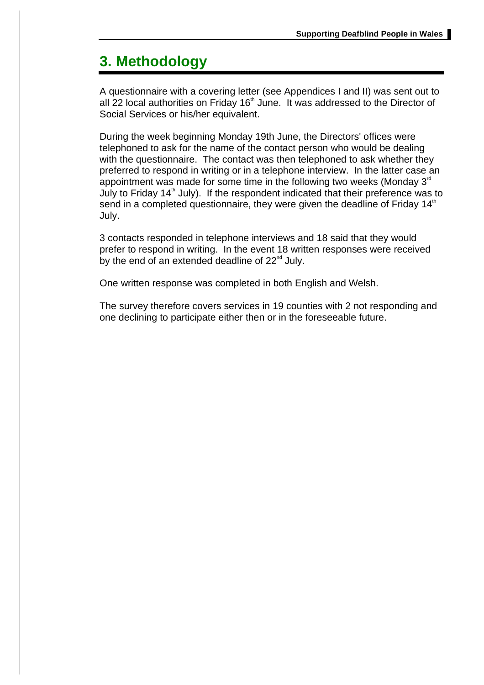## **3. Methodology**

A questionnaire with a covering letter (see Appendices I and II) was sent out to all 22 local authorities on Friday 16<sup>th</sup> June. It was addressed to the Director of Social Services or his/her equivalent.

During the week beginning Monday 19th June, the Directors' offices were telephoned to ask for the name of the contact person who would be dealing with the questionnaire. The contact was then telephoned to ask whether they preferred to respond in writing or in a telephone interview. In the latter case an appointment was made for some time in the following two weeks (Monday  $3<sup>rd</sup>$ July to Friday 14<sup>th</sup> July). If the respondent indicated that their preference was to send in a completed questionnaire, they were given the deadline of Friday 14<sup>th</sup> July.

3 contacts responded in telephone interviews and 18 said that they would prefer to respond in writing. In the event 18 written responses were received by the end of an extended deadline of  $22^{\text{nd}}$  July.

One written response was completed in both English and Welsh.

The survey therefore covers services in 19 counties with 2 not responding and one declining to participate either then or in the foreseeable future.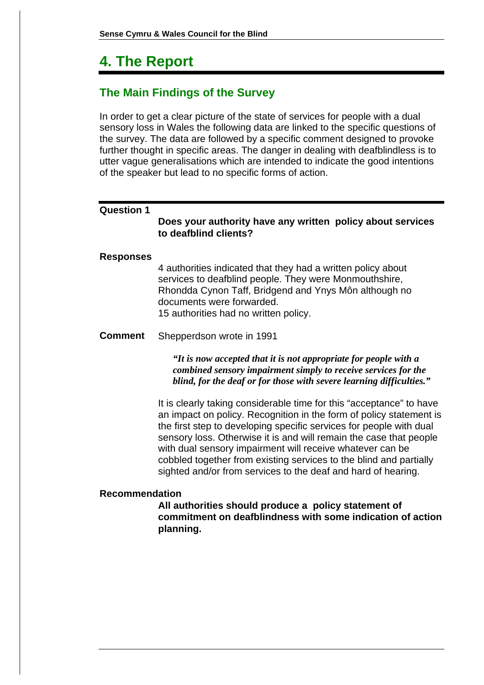## **4. The Report**

## **The Main Findings of the Survey**

In order to get a clear picture of the state of services for people with a dual sensory loss in Wales the following data are linked to the specific questions of the survey. The data are followed by a specific comment designed to provoke further thought in specific areas. The danger in dealing with deafblindless is to utter vague generalisations which are intended to indicate the good intentions of the speaker but lead to no specific forms of action.

#### **Question 1**

#### **Does your authority have any written policy about services to deafblind clients?**

#### **Responses**

4 authorities indicated that they had a written policy about services to deafblind people. They were Monmouthshire, Rhondda Cynon Taff, Bridgend and Ynys Môn although no documents were forwarded. 15 authorities had no written policy.

#### **Comment** Shepperdson wrote in 1991

*"It is now accepted that it is not appropriate for people with a combined sensory impairment simply to receive services for the blind, for the deaf or for those with severe learning difficulties."*

It is clearly taking considerable time for this "acceptance" to have an impact on policy. Recognition in the form of policy statement is the first step to developing specific services for people with dual sensory loss. Otherwise it is and will remain the case that people with dual sensory impairment will receive whatever can be cobbled together from existing services to the blind and partially sighted and/or from services to the deaf and hard of hearing.

#### **Recommendation**

**All authorities should produce a policy statement of commitment on deafblindness with some indication of action planning.**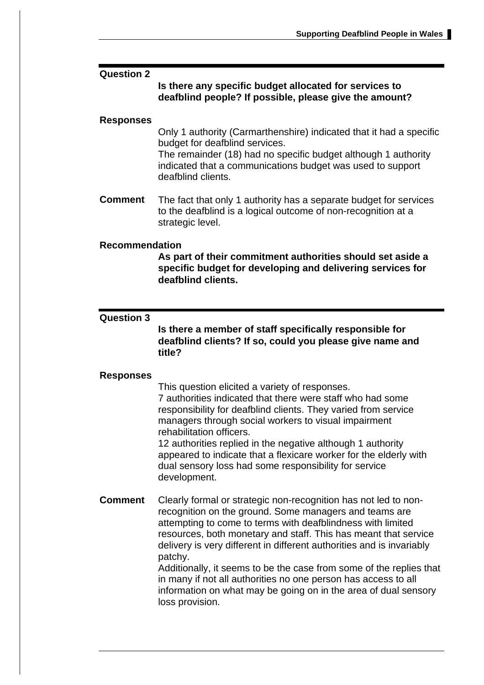#### **Question 2**

#### **Is there any specific budget allocated for services to deafblind people? If possible, please give the amount?**

#### **Responses**

Only 1 authority (Carmarthenshire) indicated that it had a specific budget for deafblind services.

The remainder (18) had no specific budget although 1 authority indicated that a communications budget was used to support deafblind clients.

**Comment** The fact that only 1 authority has a separate budget for services to the deafblind is a logical outcome of non-recognition at a strategic level.

#### **Recommendation**

**As part of their commitment authorities should set aside a specific budget for developing and delivering services for deafblind clients.**

#### **Question 3**

**Is there a member of staff specifically responsible for deafblind clients? If so, could you please give name and title?**

#### **Responses**

This question elicited a variety of responses. 7 authorities indicated that there were staff who had some responsibility for deafblind clients. They varied from service managers through social workers to visual impairment rehabilitation officers.

12 authorities replied in the negative although 1 authority appeared to indicate that a flexicare worker for the elderly with dual sensory loss had some responsibility for service development.

**Comment** Clearly formal or strategic non-recognition has not led to nonrecognition on the ground. Some managers and teams are attempting to come to terms with deafblindness with limited resources, both monetary and staff. This has meant that service delivery is very different in different authorities and is invariably patchy.

Additionally, it seems to be the case from some of the replies that in many if not all authorities no one person has access to all information on what may be going on in the area of dual sensory loss provision.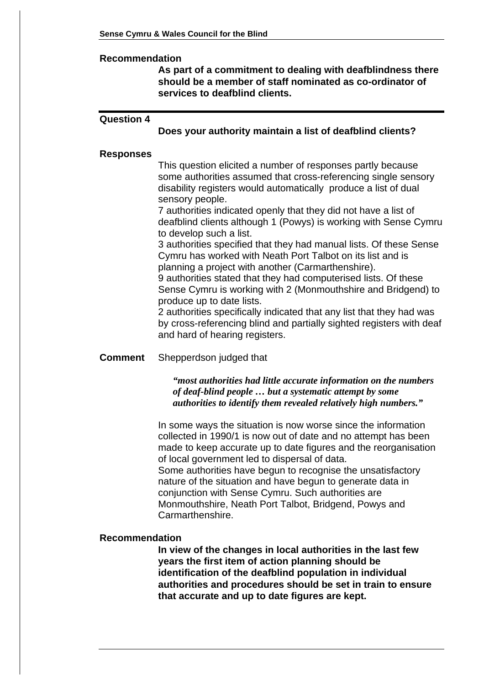#### **Recommendation**

**As part of a commitment to dealing with deafblindness there should be a member of staff nominated as co-ordinator of services to deafblind clients.**

#### **Question 4**

#### **Does your authority maintain a list of deafblind clients?**

#### **Responses**

This question elicited a number of responses partly because some authorities assumed that cross-referencing single sensory disability registers would automatically produce a list of dual sensory people.

7 authorities indicated openly that they did not have a list of deafblind clients although 1 (Powys) is working with Sense Cymru to develop such a list.

3 authorities specified that they had manual lists. Of these Sense Cymru has worked with Neath Port Talbot on its list and is planning a project with another (Carmarthenshire).

9 authorities stated that they had computerised lists. Of these Sense Cymru is working with 2 (Monmouthshire and Bridgend) to produce up to date lists.

2 authorities specifically indicated that any list that they had was by cross-referencing blind and partially sighted registers with deaf and hard of hearing registers.

#### **Comment** Shepperdson judged that

*"most authorities had little accurate information on the numbers of deaf-blind people … but a systematic attempt by some authorities to identify them revealed relatively high numbers."*

In some ways the situation is now worse since the information collected in 1990/1 is now out of date and no attempt has been made to keep accurate up to date figures and the reorganisation of local government led to dispersal of data.

Some authorities have begun to recognise the unsatisfactory nature of the situation and have begun to generate data in conjunction with Sense Cymru. Such authorities are Monmouthshire, Neath Port Talbot, Bridgend, Powys and Carmarthenshire.

#### **Recommendation**

**In view of the changes in local authorities in the last few years the first item of action planning should be identification of the deafblind population in individual authorities and procedures should be set in train to ensure that accurate and up to date figures are kept.**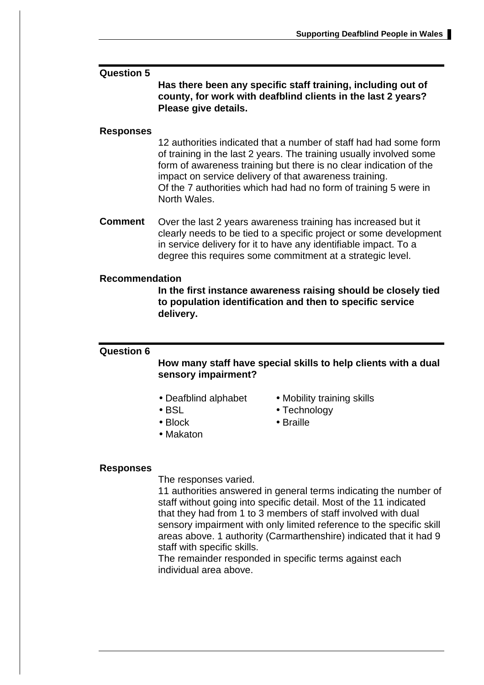#### **Question 5**

**Has there been any specific staff training, including out of county, for work with deafblind clients in the last 2 years? Please give details.**

#### **Responses**

12 authorities indicated that a number of staff had had some form of training in the last 2 years. The training usually involved some form of awareness training but there is no clear indication of the impact on service delivery of that awareness training. Of the 7 authorities which had had no form of training 5 were in North Wales.

**Comment** Over the last 2 years awareness training has increased but it clearly needs to be tied to a specific project or some development in service delivery for it to have any identifiable impact. To a degree this requires some commitment at a strategic level.

#### **Recommendation**

**In the first instance awareness raising should be closely tied to population identification and then to specific service delivery.**

#### **Question 6**

**How many staff have special skills to help clients with a dual sensory impairment?**

- 
- 
- 
- Makaton
- Deafblind alphabet Mobility training skills
- BSL Technology
- Block Braille

#### **Responses**

The responses varied.

11 authorities answered in general terms indicating the number of staff without going into specific detail. Most of the 11 indicated that they had from 1 to 3 members of staff involved with dual sensory impairment with only limited reference to the specific skill areas above. 1 authority (Carmarthenshire) indicated that it had 9 staff with specific skills.

The remainder responded in specific terms against each individual area above.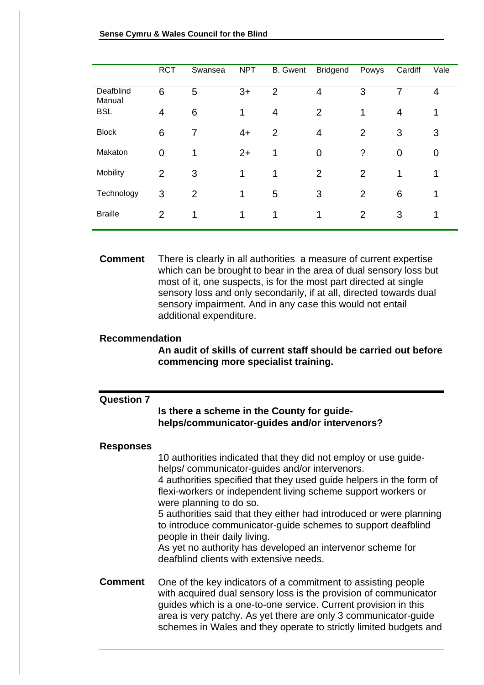|                     | <b>RCT</b>     | Swansea | <b>NPT</b> | <b>B.</b> Gwent | <b>Bridgend</b> | Powys          | Cardiff | Vale |
|---------------------|----------------|---------|------------|-----------------|-----------------|----------------|---------|------|
| Deafblind<br>Manual | 6              | 5       | $3+$       | $\overline{2}$  | 4               | 3              | 7       | 4    |
| <b>BSL</b>          | $\overline{4}$ | 6       | 1          | 4               | 2               | 1              | 4       | 1    |
| <b>Block</b>        | 6              | 7       | $4+$       | $\overline{2}$  | 4               | 2              | 3       | 3    |
| Makaton             | $\overline{0}$ | 1       | $2+$       | 1               | 0               | ?              | 0       | 0    |
| Mobility            | 2              | 3       | 1          | 1               | $\overline{2}$  | $\overline{2}$ | 1       | 1    |
| Technology          | 3              | 2       | 1          | 5               | 3               | 2              | 6       | 1    |
| <b>Braille</b>      | 2              | 1       | 1          | 1               | 1               | 2              | 3       | 1    |
|                     |                |         |            |                 |                 |                |         |      |

**Comment** There is clearly in all authorities a measure of current expertise which can be brought to bear in the area of dual sensory loss but most of it, one suspects, is for the most part directed at single sensory loss and only secondarily, if at all, directed towards dual sensory impairment. And in any case this would not entail additional expenditure.

#### **Recommendation**

**An audit of skills of current staff should be carried out before commencing more specialist training.**

| <b>Question 7</b> | Is there a scheme in the County for guide-<br>helps/communicator-guides and/or intervenors?                                                                                                                                                                                                                                                                                                                                                                                                                                                                          |
|-------------------|----------------------------------------------------------------------------------------------------------------------------------------------------------------------------------------------------------------------------------------------------------------------------------------------------------------------------------------------------------------------------------------------------------------------------------------------------------------------------------------------------------------------------------------------------------------------|
| Responses         | 10 authorities indicated that they did not employ or use guide-<br>helps/communicator-guides and/or intervenors.<br>4 authorities specified that they used guide helpers in the form of<br>flexi-workers or independent living scheme support workers or<br>were planning to do so.<br>5 authorities said that they either had introduced or were planning<br>to introduce communicator-guide schemes to support deafblind<br>people in their daily living.<br>As yet no authority has developed an intervenor scheme for<br>deafblind clients with extensive needs. |
| Comment           | One of the key indicators of a commitment to assisting people<br>with acquired dual sensory loss is the provision of communicator<br>guides which is a one-to-one service. Current provision in this<br>area is very patchy. As yet there are only 3 communicator-guide<br>schemes in Wales and they operate to strictly limited budgets and                                                                                                                                                                                                                         |
|                   |                                                                                                                                                                                                                                                                                                                                                                                                                                                                                                                                                                      |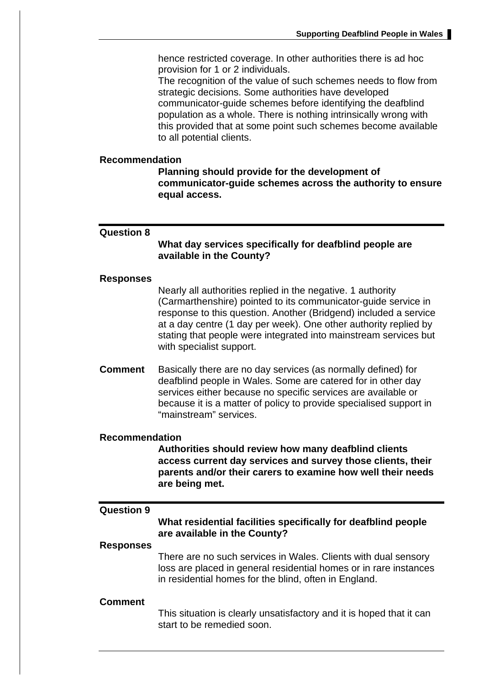hence restricted coverage. In other authorities there is ad hoc provision for 1 or 2 individuals.

The recognition of the value of such schemes needs to flow from strategic decisions. Some authorities have developed communicator-guide schemes before identifying the deafblind population as a whole. There is nothing intrinsically wrong with this provided that at some point such schemes become available to all potential clients.

#### **Recommendation**

**Planning should provide for the development of communicator-guide schemes across the authority to ensure equal access.**

#### **Question 8**

**What day services specifically for deafblind people are available in the County?**

#### **Responses**

Nearly all authorities replied in the negative. 1 authority (Carmarthenshire) pointed to its communicator-guide service in response to this question. Another (Bridgend) included a service at a day centre (1 day per week). One other authority replied by stating that people were integrated into mainstream services but with specialist support.

**Comment** Basically there are no day services (as normally defined) for deafblind people in Wales. Some are catered for in other day services either because no specific services are available or because it is a matter of policy to provide specialised support in "mainstream" services.

#### **Recommendation**

**Authorities should review how many deafblind clients access current day services and survey those clients, their parents and/or their carers to examine how well their needs are being met.**

#### **Question 9**

#### **What residential facilities specifically for deafblind people are available in the County?**

#### **Responses**

There are no such services in Wales. Clients with dual sensory loss are placed in general residential homes or in rare instances in residential homes for the blind, often in England.

#### **Comment**

This situation is clearly unsatisfactory and it is hoped that it can start to be remedied soon.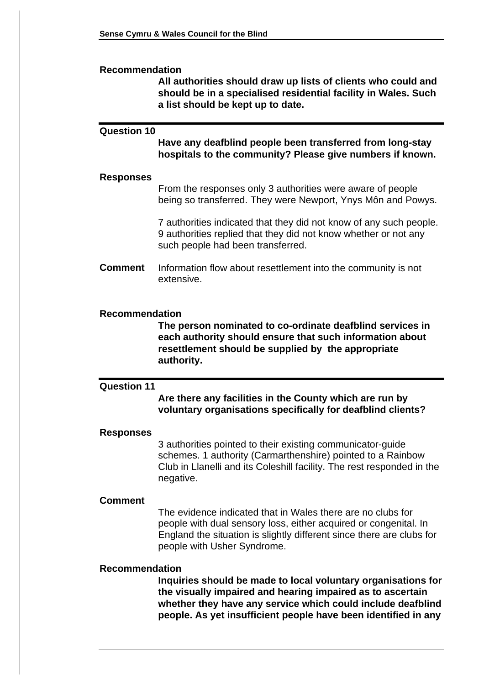#### **Recommendation**

**All authorities should draw up lists of clients who could and should be in a specialised residential facility in Wales. Such a list should be kept up to date.**

#### **Question 10**

**Have any deafblind people been transferred from long-stay hospitals to the community? Please give numbers if known.**

#### **Responses**

From the responses only 3 authorities were aware of people being so transferred. They were Newport, Ynys Môn and Powys.

7 authorities indicated that they did not know of any such people. 9 authorities replied that they did not know whether or not any such people had been transferred.

**Comment** Information flow about resettlement into the community is not extensive.

#### **Recommendation**

**The person nominated to co-ordinate deafblind services in each authority should ensure that such information about resettlement should be supplied by the appropriate authority.**

#### **Question 11**

**Are there any facilities in the County which are run by voluntary organisations specifically for deafblind clients?**

#### **Responses**

3 authorities pointed to their existing communicator-guide schemes. 1 authority (Carmarthenshire) pointed to a Rainbow Club in Llanelli and its Coleshill facility. The rest responded in the negative.

#### **Comment**

The evidence indicated that in Wales there are no clubs for people with dual sensory loss, either acquired or congenital. In England the situation is slightly different since there are clubs for people with Usher Syndrome.

#### **Recommendation**

**Inquiries should be made to local voluntary organisations for the visually impaired and hearing impaired as to ascertain whether they have any service which could include deafblind people. As yet insufficient people have been identified in any**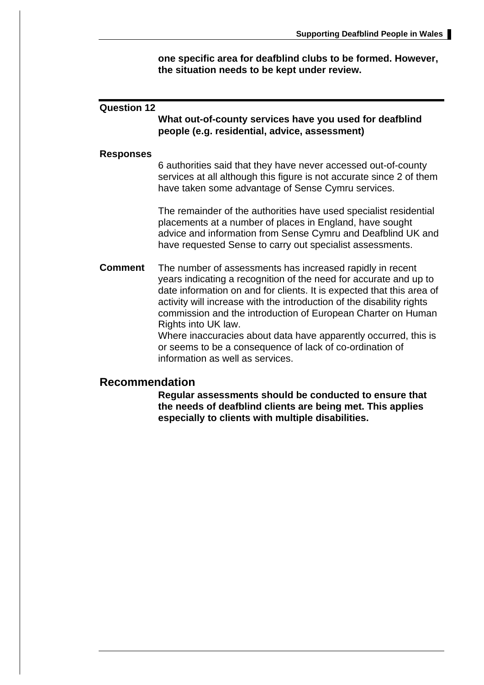**one specific area for deafblind clubs to be formed. However, the situation needs to be kept under review.**

#### **Question 12**

**What out-of-county services have you used for deafblind people (e.g. residential, advice, assessment)**

#### **Responses**

6 authorities said that they have never accessed out-of-county services at all although this figure is not accurate since 2 of them have taken some advantage of Sense Cymru services.

The remainder of the authorities have used specialist residential placements at a number of places in England, have sought advice and information from Sense Cymru and Deafblind UK and have requested Sense to carry out specialist assessments.

**Comment** The number of assessments has increased rapidly in recent years indicating a recognition of the need for accurate and up to date information on and for clients. It is expected that this area of activity will increase with the introduction of the disability rights commission and the introduction of European Charter on Human Rights into UK law.

Where inaccuracies about data have apparently occurred, this is or seems to be a consequence of lack of co-ordination of information as well as services.

#### **Recommendation**

**Regular assessments should be conducted to ensure that the needs of deafblind clients are being met. This applies especially to clients with multiple disabilities.**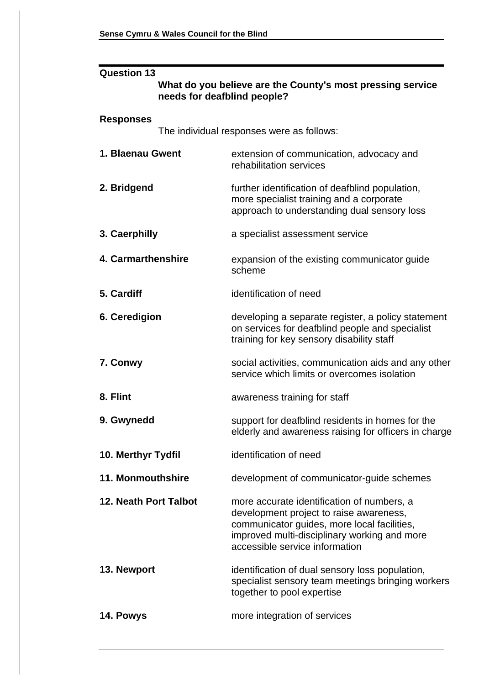| <b>Question 13</b>           |                                                                                                                                                                                                                        |  |  |  |  |
|------------------------------|------------------------------------------------------------------------------------------------------------------------------------------------------------------------------------------------------------------------|--|--|--|--|
|                              | What do you believe are the County's most pressing service<br>needs for deafblind people?                                                                                                                              |  |  |  |  |
| <b>Responses</b>             |                                                                                                                                                                                                                        |  |  |  |  |
|                              | The individual responses were as follows:                                                                                                                                                                              |  |  |  |  |
| 1. Blaenau Gwent             | extension of communication, advocacy and<br>rehabilitation services                                                                                                                                                    |  |  |  |  |
| 2. Bridgend                  | further identification of deafblind population,<br>more specialist training and a corporate<br>approach to understanding dual sensory loss                                                                             |  |  |  |  |
| 3. Caerphilly                | a specialist assessment service                                                                                                                                                                                        |  |  |  |  |
| 4. Carmarthenshire           | expansion of the existing communicator guide<br>scheme                                                                                                                                                                 |  |  |  |  |
| 5. Cardiff                   | identification of need                                                                                                                                                                                                 |  |  |  |  |
| 6. Ceredigion                | developing a separate register, a policy statement<br>on services for deafblind people and specialist<br>training for key sensory disability staff                                                                     |  |  |  |  |
| 7. Conwy                     | social activities, communication aids and any other<br>service which limits or overcomes isolation                                                                                                                     |  |  |  |  |
| 8. Flint                     | awareness training for staff                                                                                                                                                                                           |  |  |  |  |
| 9. Gwynedd                   | support for deafblind residents in homes for the<br>elderly and awareness raising for officers in charge                                                                                                               |  |  |  |  |
| 10. Merthyr Tydfil           | identification of need                                                                                                                                                                                                 |  |  |  |  |
| 11. Monmouthshire            | development of communicator-guide schemes                                                                                                                                                                              |  |  |  |  |
| <b>12. Neath Port Talbot</b> | more accurate identification of numbers, a<br>development project to raise awareness,<br>communicator guides, more local facilities,<br>improved multi-disciplinary working and more<br>accessible service information |  |  |  |  |
| 13. Newport                  | identification of dual sensory loss population,<br>specialist sensory team meetings bringing workers<br>together to pool expertise                                                                                     |  |  |  |  |
| 14. Powys                    | more integration of services                                                                                                                                                                                           |  |  |  |  |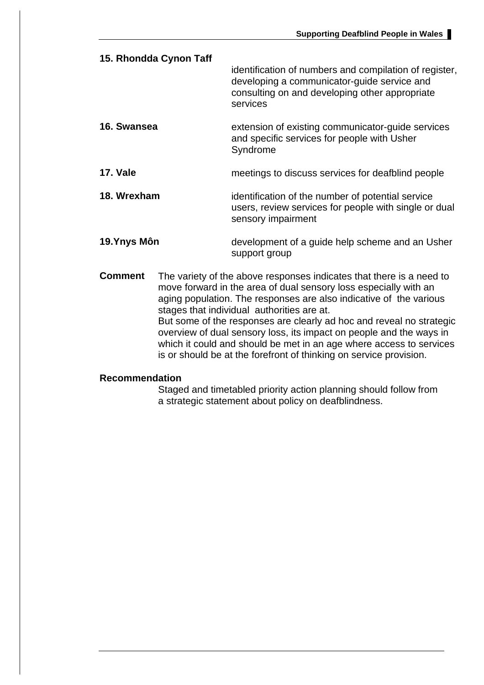| 15. Rhondda Cynon Taff | identification of numbers and compilation of register,<br>developing a communicator-guide service and<br>consulting on and developing other appropriate<br>services |
|------------------------|---------------------------------------------------------------------------------------------------------------------------------------------------------------------|
| 16. Swansea            | extension of existing communicator-guide services<br>and specific services for people with Usher<br>Syndrome                                                        |
| <b>17. Vale</b>        | meetings to discuss services for deafblind people                                                                                                                   |
| 18. Wrexham            | identification of the number of potential service<br>users, review services for people with single or dual<br>sensory impairment                                    |
| 19. Ynys Môn           | development of a guide help scheme and an Usher<br>support group                                                                                                    |

**Comment** The variety of the above responses indicates that there is a need to move forward in the area of dual sensory loss especially with an aging population. The responses are also indicative of the various stages that individual authorities are at. But some of the responses are clearly ad hoc and reveal no strategic overview of dual sensory loss, its impact on people and the ways in which it could and should be met in an age where access to services is or should be at the forefront of thinking on service provision.

#### **Recommendation**

Staged and timetabled priority action planning should follow from a strategic statement about policy on deafblindness.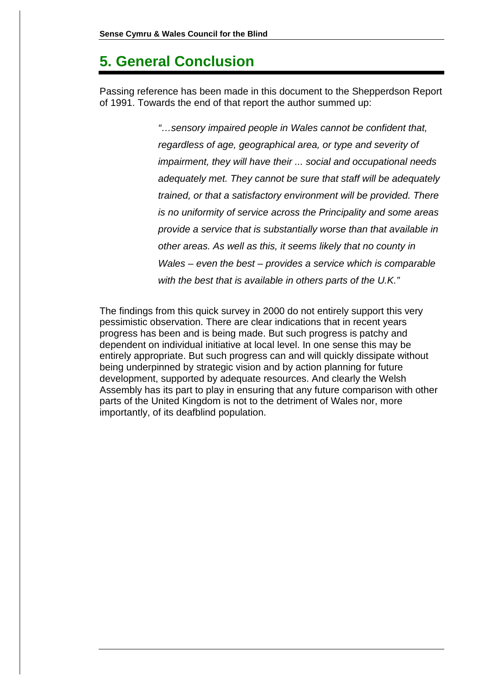## **5. General Conclusion**

Passing reference has been made in this document to the Shepperdson Report of 1991. Towards the end of that report the author summed up:

> "…sensory impaired people in Wales cannot be confident that, regardless of age, geographical area, or type and severity of impairment, they will have their ... social and occupational needs adequately met. They cannot be sure that staff will be adequately trained, or that a satisfactory environment will be provided. There is no uniformity of service across the Principality and some areas provide a service that is substantially worse than that available in other areas. As well as this, it seems likely that no county in Wales – even the best – provides a service which is comparable with the best that is available in others parts of the U.K."

The findings from this quick survey in 2000 do not entirely support this very pessimistic observation. There are clear indications that in recent years progress has been and is being made. But such progress is patchy and dependent on individual initiative at local level. In one sense this may be entirely appropriate. But such progress can and will quickly dissipate without being underpinned by strategic vision and by action planning for future development, supported by adequate resources. And clearly the Welsh Assembly has its part to play in ensuring that any future comparison with other parts of the United Kingdom is not to the detriment of Wales nor, more importantly, of its deafblind population.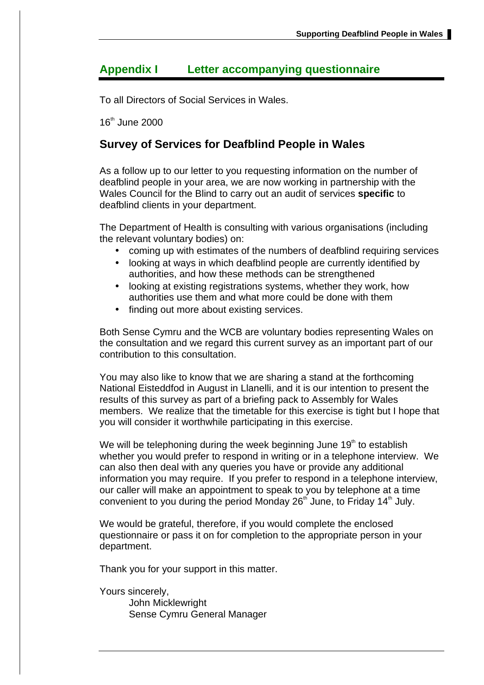## **Appendix I Letter accompanying questionnaire**

To all Directors of Social Services in Wales.

16<sup>th</sup> June 2000

### **Survey of Services for Deafblind People in Wales**

As a follow up to our letter to you requesting information on the number of deafblind people in your area, we are now working in partnership with the Wales Council for the Blind to carry out an audit of services **specific** to deafblind clients in your department.

The Department of Health is consulting with various organisations (including the relevant voluntary bodies) on:

- coming up with estimates of the numbers of deafblind requiring services
- looking at ways in which deafblind people are currently identified by authorities, and how these methods can be strengthened
- looking at existing registrations systems, whether they work, how authorities use them and what more could be done with them
- finding out more about existing services.

Both Sense Cymru and the WCB are voluntary bodies representing Wales on the consultation and we regard this current survey as an important part of our contribution to this consultation.

You may also like to know that we are sharing a stand at the forthcoming National Eisteddfod in August in Llanelli, and it is our intention to present the results of this survey as part of a briefing pack to Assembly for Wales members. We realize that the timetable for this exercise is tight but I hope that you will consider it worthwhile participating in this exercise.

We will be telephoning during the week beginning June 19<sup>th</sup> to establish whether you would prefer to respond in writing or in a telephone interview. We can also then deal with any queries you have or provide any additional information you may require. If you prefer to respond in a telephone interview, our caller will make an appointment to speak to you by telephone at a time convenient to you during the period Monday  $26<sup>th</sup>$  June, to Friday 14<sup>th</sup> July.

We would be grateful, therefore, if you would complete the enclosed questionnaire or pass it on for completion to the appropriate person in your department.

Thank you for your support in this matter.

Yours sincerely,

John Micklewright Sense Cymru General Manager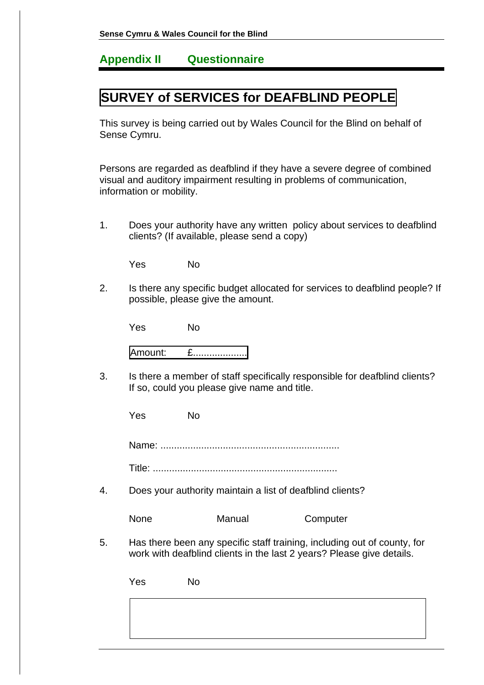## **Appendix II Questionnaire**

## **SURVEY of SERVICES for DEAFBLIND PEOPLE**

This survey is being carried out by Wales Council for the Blind on behalf of Sense Cymru.

Persons are regarded as deafblind if they have a severe degree of combined visual and auditory impairment resulting in problems of communication, information or mobility.

1. Does your authority have any written policy about services to deafblind clients? (If available, please send a copy)

Yes No

2. Is there any specific budget allocated for services to deafblind people? If possible, please give the amount.

Yes No

| L |  |
|---|--|
|---|--|

3. Is there a member of staff specifically responsible for deafblind clients? If so, could you please give name and title.

Yes No

Name: ..................................................................

Title: ....................................................................

4. Does your authority maintain a list of deafblind clients?

| Computer |
|----------|
|          |

5. Has there been any specific staff training, including out of county, for work with deafblind clients in the last 2 years? Please give details.

| Yes | No. |  |  |
|-----|-----|--|--|
|     |     |  |  |
|     |     |  |  |
|     |     |  |  |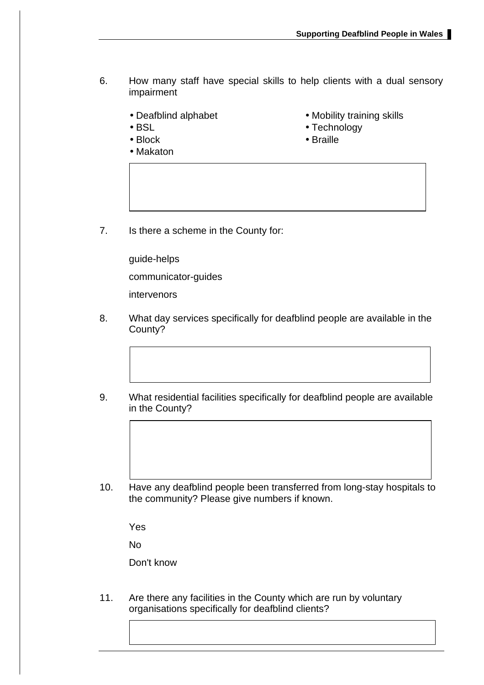- 6. How many staff have special skills to help clients with a dual sensory impairment
	-
	-
	-
	- Makaton
	- Deafblind alphabet Mobility training skills
	- BSL Technology
	- Block Braille
- 
- 7. Is there a scheme in the County for:

guide-helps communicator-guides intervenors

- 8. What day services specifically for deafblind people are available in the County?
- 9. What residential facilities specifically for deafblind people are available in the County?
- 10. Have any deafblind people been transferred from long-stay hospitals to the community? Please give numbers if known.

Yes

No

Don't know

11. Are there any facilities in the County which are run by voluntary organisations specifically for deafblind clients?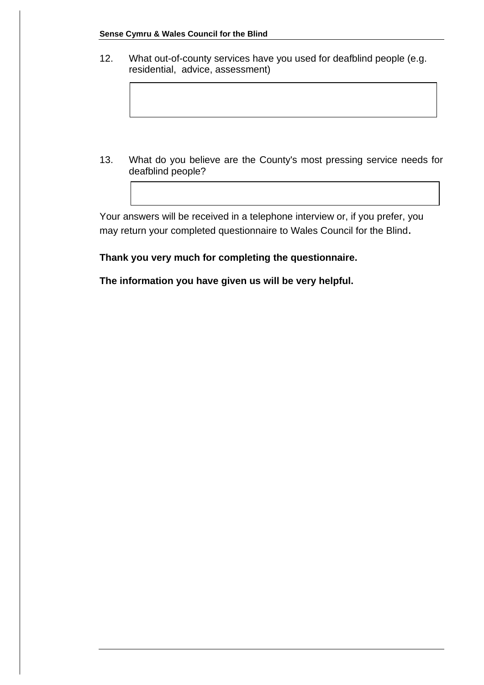12. What out-of-county services have you used for deafblind people (e.g. residential, advice, assessment)

13. What do you believe are the County's most pressing service needs for deafblind people?

Your answers will be received in a telephone interview or, if you prefer, you may return your completed questionnaire to Wales Council for the Blind.

**Thank you very much for completing the questionnaire.**

**The information you have given us will be very helpful.**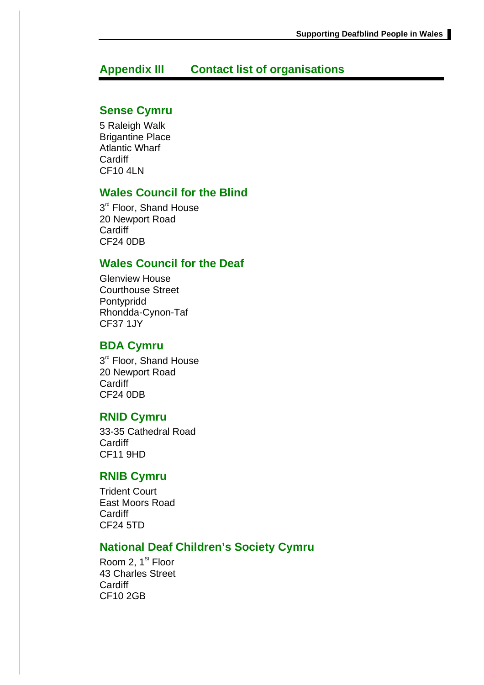## **Appendix III Contact list of organisations**

### **Sense Cymru**

5 Raleigh Walk Brigantine Place Atlantic Wharf **Cardiff** CF10 4LN

### **Wales Council for the Blind**

3<sup>rd</sup> Floor, Shand House 20 Newport Road **Cardiff** CF24 0DB

### **Wales Council for the Deaf**

Glenview House Courthouse Street Pontypridd Rhondda-Cynon-Taf CF37 1JY

### **BDA Cymru**

3<sup>rd</sup> Floor, Shand House 20 Newport Road **Cardiff** CF24 0DB

### **RNID Cymru**

33-35 Cathedral Road **Cardiff** CF11 9HD

### **RNIB Cymru**

Trident Court East Moors Road **Cardiff** CF24 5TD

### **National Deaf Children's Society Cymru**

Room 2, 1<sup>st</sup> Floor 43 Charles Street **Cardiff** CF10 2GB